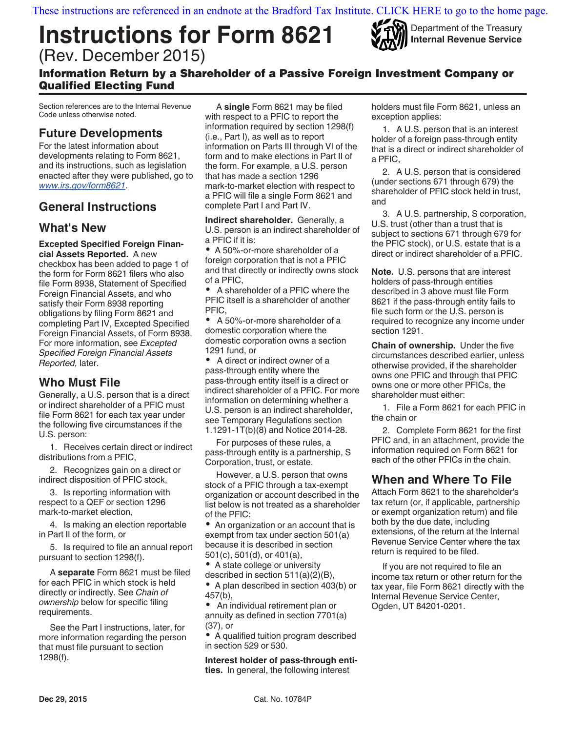# Instructions for Form 8621 (Rev. December 2015)



Department of the Treasury Internal Revenue Service

# Information Return by a Shareholder of a Passive Foreign Investment Company or Qualified Electing Fund

Section references are to the Internal Revenue Code unless otherwise noted.

# Future Developments

For the latest information about developments relating to Form 8621, and its instructions, such as legislation enacted after they were published, go to www.irs.gov/form8621.

# General Instructions

# What's New

Excepted Specified Foreign Financial Assets Reported. A new

checkbox has been added to page 1 of the form for Form 8621 filers who also file Form 8938, Statement of Specified Foreign Financial Assets, and who satisfy their Form 8938 reporting obligations by filing Form 8621 and completing Part IV, Excepted Specified Foreign Financial Assets, of Form 8938. For more information, see Excepted Specified Foreign Financial Assets Reported, later.

# Who Must File

Generally, a U.S. person that is a direct or indirect shareholder of a PFIC must file Form 8621 for each tax year under the following five circumstances if the U.S. person:

1. Receives certain direct or indirect distributions from a PFIC,

2. Recognizes gain on a direct or indirect disposition of PFIC stock,

3. Is reporting information with respect to a QEF or section 1296 mark-to-market election,

4. Is making an election reportable in Part II of the form, or

5. Is required to file an annual report pursuant to section 1298(f).

A separate Form 8621 must be filed for each PFIC in which stock is held directly or indirectly. See Chain of ownership below for specific filing requirements.

See the Part I instructions, later, for more information regarding the person that must file pursuant to section 1298(f).

A single Form 8621 may be filed with respect to a PFIC to report the information required by section 1298(f) (i.e., Part I), as well as to report information on Parts III through VI of the form and to make elections in Part II of the form. For example, a U.S. person that has made a section 1296 mark-to-market election with respect to a PFIC will file a single Form 8621 and complete Part I and Part IV.

Indirect shareholder. Generally, a U.S. person is an indirect shareholder of a PFIC if it is:

A 50%-or-more shareholder of a foreign corporation that is not a PFIC and that directly or indirectly owns stock of a PFIC,

 A shareholder of a PFIC where the PFIC itself is a shareholder of another PFIC,

 A 50%-or-more shareholder of a domestic corporation where the domestic corporation owns a section 1291 fund, or

• A direct or indirect owner of a pass-through entity where the pass-through entity itself is a direct or indirect shareholder of a PFIC. For more information on determining whether a U.S. person is an indirect shareholder, see Temporary Regulations section 1.1291-1T(b)(8) and Notice 2014-28.

For purposes of these rules, a pass-through entity is a partnership, S Corporation, trust, or estate.

However, a U.S. person that owns stock of a PFIC through a tax-exempt organization or account described in the list below is not treated as a shareholder of the PFIC:

• An organization or an account that is exempt from tax under section 501(a) because it is described in section 501(c), 501(d), or 401(a),

• A state college or university described in section 511(a)(2)(B),

• A plan described in section 403(b) or 457(b),

 An individual retirement plan or annuity as defined in section 7701(a) (37), or

A qualified tuition program described in section 529 or 530.

Interest holder of pass-through entities. In general, the following interest

holders must file Form 8621, unless an exception applies:

1. A U.S. person that is an interest holder of a foreign pass-through entity that is a direct or indirect shareholder of a PFIC,

2. A U.S. person that is considered (under sections 671 through 679) the shareholder of PFIC stock held in trust, and

3. A U.S. partnership, S corporation, U.S. trust (other than a trust that is subject to sections 671 through 679 for the PFIC stock), or U.S. estate that is a direct or indirect shareholder of a PFIC.

Note. U.S. persons that are interest holders of pass-through entities described in 3 above must file Form 8621 if the pass-through entity fails to file such form or the U.S. person is required to recognize any income under section 1291.

Chain of ownership. Under the five circumstances described earlier, unless otherwise provided, if the shareholder owns one PFIC and through that PFIC owns one or more other PFICs, the shareholder must either:

1. File a Form 8621 for each PFIC in the chain or

2. Complete Form 8621 for the first PFIC and, in an attachment, provide the information required on Form 8621 for each of the other PFICs in the chain.

# When and Where To File

Attach Form 8621 to the shareholder's tax return (or, if applicable, partnership or exempt organization return) and file both by the due date, including extensions, of the return at the Internal Revenue Service Center where the tax return is required to be filed.

If you are not required to file an income tax return or other return for the tax year, file Form 8621 directly with the Internal Revenue Service Center, Ogden, UT 84201-0201.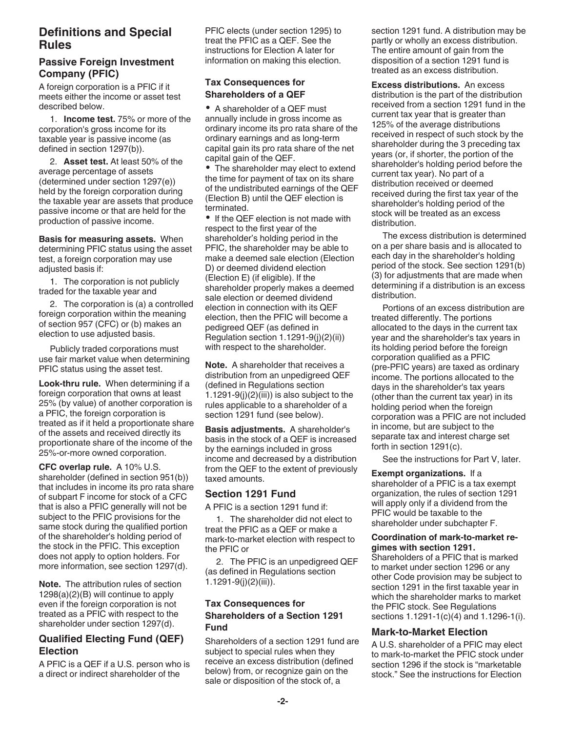# Definitions and Special Rules

### Passive Foreign Investment Company (PFIC)

A foreign corporation is a PFIC if it meets either the income or asset test described below.

1. **Income test.** 75% or more of the corporation's gross income for its taxable year is passive income (as defined in section 1297(b)).

2. Asset test. At least 50% of the average percentage of assets (determined under section 1297(e)) held by the foreign corporation during the taxable year are assets that produce passive income or that are held for the production of passive income.

Basis for measuring assets. When determining PFIC status using the asset test, a foreign corporation may use adjusted basis if:

1. The corporation is not publicly traded for the taxable year and

2. The corporation is (a) a controlled foreign corporation within the meaning of section 957 (CFC) or (b) makes an election to use adjusted basis.

Publicly traded corporations must use fair market value when determining PFIC status using the asset test.

Look-thru rule. When determining if a foreign corporation that owns at least 25% (by value) of another corporation is a PFIC, the foreign corporation is treated as if it held a proportionate share of the assets and received directly its proportionate share of the income of the 25%-or-more owned corporation.

CFC overlap rule. A 10% U.S. shareholder (defined in section 951(b)) that includes in income its pro rata share of subpart F income for stock of a CFC that is also a PFIC generally will not be subject to the PFIC provisions for the same stock during the qualified portion of the shareholder's holding period of the stock in the PFIC. This exception does not apply to option holders. For more information, see section 1297(d).

Note. The attribution rules of section 1298(a)(2)(B) will continue to apply even if the foreign corporation is not treated as a PFIC with respect to the shareholder under section 1297(d).

# Qualified Electing Fund (QEF) Election

A PFIC is a QEF if a U.S. person who is a direct or indirect shareholder of the

PFIC elects (under section 1295) to treat the PFIC as a QEF. See the instructions for Election A later for information on making this election.

# Tax Consequences for Shareholders of a QEF

A shareholder of a QEF must annually include in gross income as ordinary income its pro rata share of the ordinary earnings and as long-term capital gain its pro rata share of the net capital gain of the QEF.

• The shareholder may elect to extend the time for payment of tax on its share of the undistributed earnings of the QEF (Election B) until the QEF election is terminated.

• If the QEF election is not made with respect to the first year of the shareholder's holding period in the PFIC, the shareholder may be able to make a deemed sale election (Election D) or deemed dividend election (Election E) (if eligible). If the shareholder properly makes a deemed sale election or deemed dividend election in connection with its QEF election, then the PFIC will become a pedigreed QEF (as defined in Regulation section 1.1291-9(j)(2)(ii)) with respect to the shareholder.

Note. A shareholder that receives a distribution from an unpedigreed QEF (defined in Regulations section  $1.1291-9(j)(2)(iii)$ ) is also subject to the rules applicable to a shareholder of a section 1291 fund (see below).

Basis adjustments. A shareholder's basis in the stock of a QEF is increased by the earnings included in gross income and decreased by a distribution from the QEF to the extent of previously taxed amounts.

### Section 1291 Fund

A PFIC is a section 1291 fund if:

1. The shareholder did not elect to treat the PFIC as a QEF or make a mark-to-market election with respect to the PFIC or

2. The PFIC is an unpedigreed QEF (as defined in Regulations section 1.1291-9(j)(2)(iii)).

### Tax Consequences for Shareholders of a Section 1291 Fund

Shareholders of a section 1291 fund are subject to special rules when they receive an excess distribution (defined below) from, or recognize gain on the sale or disposition of the stock of, a

section 1291 fund. A distribution may be partly or wholly an excess distribution. The entire amount of gain from the disposition of a section 1291 fund is treated as an excess distribution.

Excess distributions. An excess distribution is the part of the distribution received from a section 1291 fund in the current tax year that is greater than 125% of the average distributions received in respect of such stock by the shareholder during the 3 preceding tax years (or, if shorter, the portion of the shareholder's holding period before the current tax year). No part of a distribution received or deemed received during the first tax year of the shareholder's holding period of the stock will be treated as an excess distribution.

The excess distribution is determined on a per share basis and is allocated to each day in the shareholder's holding period of the stock. See section 1291(b) (3) for adjustments that are made when determining if a distribution is an excess distribution.

Portions of an excess distribution are treated differently. The portions allocated to the days in the current tax year and the shareholder's tax years in its holding period before the foreign corporation qualified as a PFIC (pre-PFIC years) are taxed as ordinary income. The portions allocated to the days in the shareholder's tax years (other than the current tax year) in its holding period when the foreign corporation was a PFIC are not included in income, but are subject to the separate tax and interest charge set forth in section 1291(c).

See the instructions for Part V, later.

Exempt organizations. If a shareholder of a PFIC is a tax exempt organization, the rules of section 1291 will apply only if a dividend from the PFIC would be taxable to the shareholder under subchapter F.

#### Coordination of mark-to-market regimes with section 1291.

Shareholders of a PFIC that is marked to market under section 1296 or any other Code provision may be subject to section 1291 in the first taxable year in which the shareholder marks to market the PFIC stock. See Regulations sections 1.1291-1(c)(4) and 1.1296-1(i).

### **Mark-to-Market Election**

A U.S. shareholder of a PFIC may elect to mark-to-market the PFIC stock under section 1296 if the stock is "marketable stock." See the instructions for Election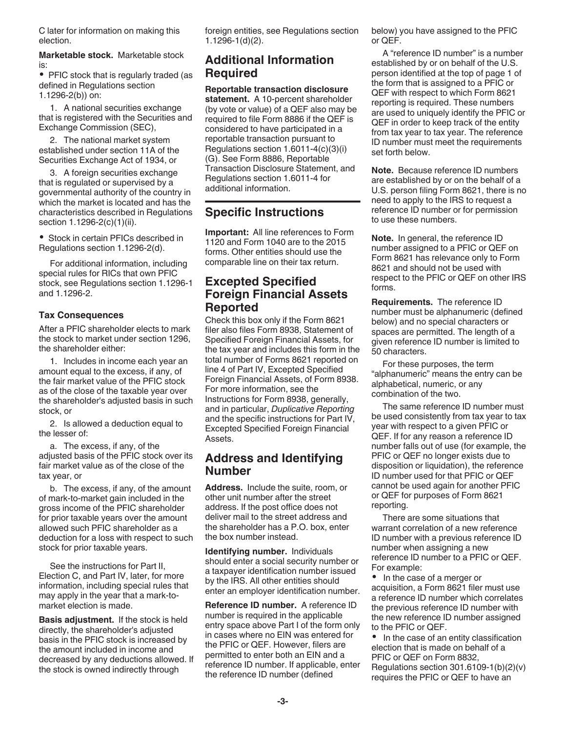C later for information on making this election.

Marketable stock. Marketable stock is:

• PFIC stock that is regularly traded (as defined in Regulations section 1.1296-2(b)) on:

1. A national securities exchange that is registered with the Securities and Exchange Commission (SEC),

2. The national market system established under section 11A of the Securities Exchange Act of 1934, or

3. A foreign securities exchange that is regulated or supervised by a governmental authority of the country in which the market is located and has the characteristics described in Regulations section 1.1296-2(c)(1)(ii).

Stock in certain PFICs described in Regulations section 1.1296-2(d).

For additional information, including special rules for RICs that own PFIC stock, see Regulations section 1.1296-1 and 1.1296-2.

### Tax Consequences

After a PFIC shareholder elects to mark the stock to market under section 1296, the shareholder either:

1. Includes in income each year an amount equal to the excess, if any, of the fair market value of the PFIC stock as of the close of the taxable year over the shareholder's adjusted basis in such stock, or

2. Is allowed a deduction equal to the lesser of:

a. The excess, if any, of the adjusted basis of the PFIC stock over its fair market value as of the close of the tax year, or

b. The excess, if any, of the amount of mark-to-market gain included in the gross income of the PFIC shareholder for prior taxable years over the amount allowed such PFIC shareholder as a deduction for a loss with respect to such stock for prior taxable years.

See the instructions for Part II, Election C, and Part IV, later, for more information, including special rules that may apply in the year that a mark-tomarket election is made.

Basis adjustment. If the stock is held directly, the shareholder's adjusted basis in the PFIC stock is increased by the amount included in income and decreased by any deductions allowed. If the stock is owned indirectly through

foreign entities, see Regulations section 1.1296-1(d)(2).

# Additional Information **Required**

Reportable transaction disclosure statement. A 10-percent shareholder (by vote or value) of a QEF also may be required to file Form 8886 if the QEF is considered to have participated in a reportable transaction pursuant to Regulations section 1.6011-4(c)(3)(i) (G). See Form 8886, Reportable Transaction Disclosure Statement, and Regulations section 1.6011-4 for additional information.

# Specific Instructions

Important: All line references to Form 1120 and Form 1040 are to the 2015 forms. Other entities should use the comparable line on their tax return.

# Excepted Specified Foreign Financial Assets Reported

Check this box only if the Form 8621 filer also files Form 8938, Statement of Specified Foreign Financial Assets, for the tax year and includes this form in the total number of Forms 8621 reported on line 4 of Part IV, Excepted Specified Foreign Financial Assets, of Form 8938. For more information, see the Instructions for Form 8938, generally, and in particular, Duplicative Reporting and the specific instructions for Part IV, Excepted Specified Foreign Financial Assets.

# Address and Identifying Number

Address. Include the suite, room, or other unit number after the street address. If the post office does not deliver mail to the street address and the shareholder has a P.O. box, enter the box number instead.

Identifying number. Individuals should enter a social security number or a taxpayer identification number issued by the IRS. All other entities should enter an employer identification number.

Reference ID number. A reference ID number is required in the applicable entry space above Part I of the form only in cases where no EIN was entered for the PFIC or QEF. However, filers are permitted to enter both an EIN and a reference ID number. If applicable, enter the reference ID number (defined

below) you have assigned to the PFIC or QEF.

A "reference ID number" is a number established by or on behalf of the U.S. person identified at the top of page 1 of the form that is assigned to a PFIC or QEF with respect to which Form 8621 reporting is required. These numbers are used to uniquely identify the PFIC or QEF in order to keep track of the entity from tax year to tax year. The reference ID number must meet the requirements set forth below.

Note. Because reference ID numbers are established by or on the behalf of a U.S. person filing Form 8621, there is no need to apply to the IRS to request a reference ID number or for permission to use these numbers.

Note. In general, the reference ID number assigned to a PFIC or QEF on Form 8621 has relevance only to Form 8621 and should not be used with respect to the PFIC or QEF on other IRS forms.

Requirements. The reference ID number must be alphanumeric (defined below) and no special characters or spaces are permitted. The length of a given reference ID number is limited to 50 characters.

For these purposes, the term "alphanumeric" means the entry can be alphabetical, numeric, or any combination of the two.

The same reference ID number must be used consistently from tax year to tax year with respect to a given PFIC or QEF. If for any reason a reference ID number falls out of use (for example, the PFIC or QEF no longer exists due to disposition or liquidation), the reference ID number used for that PFIC or QEF cannot be used again for another PFIC or QEF for purposes of Form 8621 reporting.

There are some situations that warrant correlation of a new reference ID number with a previous reference ID number when assigning a new reference ID number to a PFIC or QEF. For example:

• In the case of a merger or acquisition, a Form 8621 filer must use a reference ID number which correlates the previous reference ID number with the new reference ID number assigned to the PFIC or QEF.

• In the case of an entity classification election that is made on behalf of a PFIC or QEF on Form 8832, Regulations section 301.6109-1(b)(2)(v) requires the PFIC or QEF to have an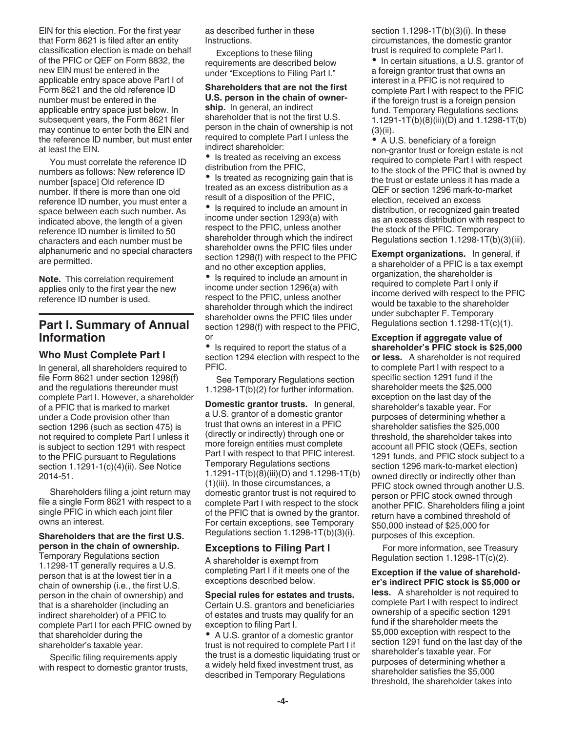EIN for this election. For the first year that Form 8621 is filed after an entity classification election is made on behalf of the PFIC or QEF on Form 8832, the new EIN must be entered in the applicable entry space above Part I of Form 8621 and the old reference ID number must be entered in the applicable entry space just below. In subsequent years, the Form 8621 filer may continue to enter both the EIN and the reference ID number, but must enter at least the EIN.

You must correlate the reference ID numbers as follows: New reference ID number [space] Old reference ID number. If there is more than one old reference ID number, you must enter a space between each such number. As indicated above, the length of a given reference ID number is limited to 50 characters and each number must be alphanumeric and no special characters are permitted.

Note. This correlation requirement applies only to the first year the new reference ID number is used.

# Part I. Summary of Annual Information

### Who Must Complete Part I

In general, all shareholders required to file Form 8621 under section 1298(f) and the regulations thereunder must complete Part I. However, a shareholder of a PFIC that is marked to market under a Code provision other than section 1296 (such as section 475) is not required to complete Part I unless it is subject to section 1291 with respect to the PFIC pursuant to Regulations section 1.1291-1(c)(4)(ii). See Notice 2014-51.

Shareholders filing a joint return may file a single Form 8621 with respect to a single PFIC in which each joint filer owns an interest.

#### Shareholders that are the first U.S. person in the chain of ownership.

Temporary Regulations section 1.1298-1T generally requires a U.S. person that is at the lowest tier in a chain of ownership (i.e., the first U.S. person in the chain of ownership) and that is a shareholder (including an indirect shareholder) of a PFIC to complete Part I for each PFIC owned by that shareholder during the shareholder's taxable year.

Specific filing requirements apply with respect to domestic grantor trusts, as described further in these Instructions.

Exceptions to these filing requirements are described below under "Exceptions to Filing Part I."

#### Shareholders that are not the first U.S. person in the chain of owner-

ship. In general, an indirect shareholder that is not the first U.S. person in the chain of ownership is not required to complete Part I unless the indirect shareholder:

• Is treated as receiving an excess distribution from the PFIC,

• Is treated as recognizing gain that is treated as an excess distribution as a result of a disposition of the PFIC,

• Is required to include an amount in income under section 1293(a) with respect to the PFIC, unless another shareholder through which the indirect shareholder owns the PFIC files under section 1298(f) with respect to the PFIC and no other exception applies,

• Is required to include an amount in income under section 1296(a) with respect to the PFIC, unless another shareholder through which the indirect shareholder owns the PFIC files under section 1298(f) with respect to the PFIC, or

• Is required to report the status of a section 1294 election with respect to the PFIC.

See Temporary Regulations section 1.1298-1T(b)(2) for further information.

Domestic grantor trusts. In general, a U.S. grantor of a domestic grantor trust that owns an interest in a PFIC (directly or indirectly) through one or more foreign entities must complete Part I with respect to that PFIC interest. Temporary Regulations sections 1.1291-1T(b)(8)(iii)(D) and 1.1298-1T(b) (1)(iii). In those circumstances, a domestic grantor trust is not required to complete Part I with respect to the stock of the PFIC that is owned by the grantor. For certain exceptions, see Temporary Regulations section 1.1298-1T(b)(3)(i).

#### Exceptions to Filing Part I

A shareholder is exempt from completing Part I if it meets one of the exceptions described below.

Special rules for estates and trusts. Certain U.S. grantors and beneficiaries of estates and trusts may qualify for an exception to filing Part I.

A U.S. grantor of a domestic grantor trust is not required to complete Part I if the trust is a domestic liquidating trust or a widely held fixed investment trust, as described in Temporary Regulations

section 1.1298-1T(b)(3)(i). In these circumstances, the domestic grantor trust is required to complete Part I.

• In certain situations, a U.S. grantor of a foreign grantor trust that owns an interest in a PFIC is not required to complete Part I with respect to the PFIC if the foreign trust is a foreign pension fund. Temporary Regulations sections 1.1291-1T(b)(8)(iii)(D) and 1.1298-1T(b)  $(3)(ii)$ .

A U.S. beneficiary of a foreign non-grantor trust or foreign estate is not required to complete Part I with respect to the stock of the PFIC that is owned by the trust or estate unless it has made a QEF or section 1296 mark-to-market election, received an excess distribution, or recognized gain treated as an excess distribution with respect to the stock of the PFIC. Temporary Regulations section 1.1298-1T(b)(3)(iii).

Exempt organizations. In general, if a shareholder of a PFIC is a tax exempt organization, the shareholder is required to complete Part I only if income derived with respect to the PFIC would be taxable to the shareholder under subchapter F. Temporary Regulations section 1.1298-1T(c)(1).

Exception if aggregate value of shareholder's PFIC stock is \$25,000 or less. A shareholder is not required to complete Part I with respect to a specific section 1291 fund if the shareholder meets the \$25,000 exception on the last day of the shareholder's taxable year. For purposes of determining whether a shareholder satisfies the \$25,000 threshold, the shareholder takes into account all PFIC stock (QEFs, section 1291 funds, and PFIC stock subject to a section 1296 mark-to-market election) owned directly or indirectly other than PFIC stock owned through another U.S. person or PFIC stock owned through another PFIC. Shareholders filing a joint return have a combined threshold of \$50,000 instead of \$25,000 for purposes of this exception.

For more information, see Treasury Regulation section 1.1298-1T(c)(2).

Exception if the value of shareholder's indirect PFIC stock is \$5,000 or less. A shareholder is not required to complete Part I with respect to indirect ownership of a specific section 1291 fund if the shareholder meets the \$5,000 exception with respect to the section 1291 fund on the last day of the shareholder's taxable year. For purposes of determining whether a shareholder satisfies the \$5,000 threshold, the shareholder takes into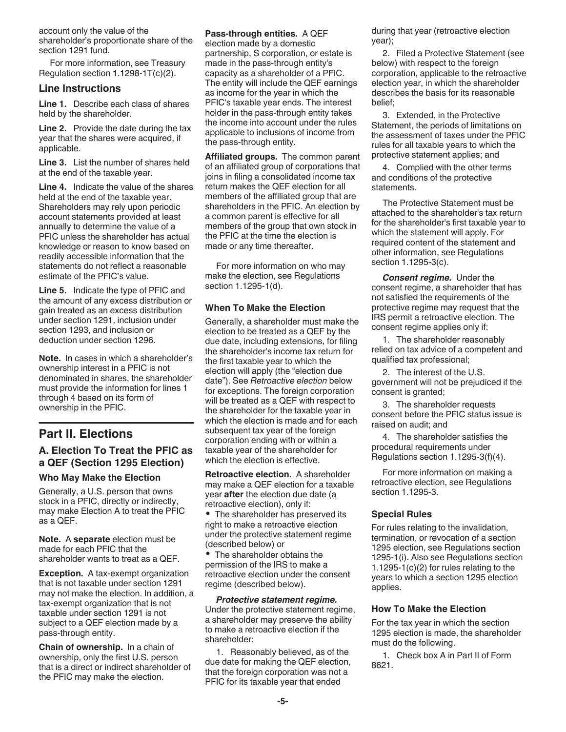account only the value of the shareholder's proportionate share of the section 1291 fund.

For more information, see Treasury Regulation section 1.1298-1T(c)(2).

#### Line Instructions

Line 1. Describe each class of shares held by the shareholder.

Line 2. Provide the date during the tax year that the shares were acquired, if applicable.

Line 3. List the number of shares held at the end of the taxable year.

Line 4. Indicate the value of the shares held at the end of the taxable year. Shareholders may rely upon periodic account statements provided at least annually to determine the value of a PFIC unless the shareholder has actual knowledge or reason to know based on readily accessible information that the statements do not reflect a reasonable estimate of the PFIC's value.

Line 5. Indicate the type of PFIC and the amount of any excess distribution or gain treated as an excess distribution under section 1291, inclusion under section 1293, and inclusion or deduction under section 1296.

Note. In cases in which a shareholder's ownership interest in a PFIC is not denominated in shares, the shareholder must provide the information for lines 1 through 4 based on its form of ownership in the PFIC.

# Part II. Elections

# A. Election To Treat the PFIC as a QEF (Section 1295 Election)

#### Who May Make the Election

Generally, a U.S. person that owns stock in a PFIC, directly or indirectly, may make Election A to treat the PFIC as a QEF.

Note. A separate election must be made for each PFIC that the shareholder wants to treat as a QEF.

Exception. A tax-exempt organization that is not taxable under section 1291 may not make the election. In addition, a tax-exempt organization that is not taxable under section 1291 is not subject to a QEF election made by a pass-through entity.

Chain of ownership. In a chain of ownership, only the first U.S. person that is a direct or indirect shareholder of the PFIC may make the election.

#### Pass-through entities. A QEF

election made by a domestic partnership, S corporation, or estate is made in the pass-through entity's capacity as a shareholder of a PFIC. The entity will include the QEF earnings as income for the year in which the PFIC's taxable year ends. The interest holder in the pass-through entity takes the income into account under the rules applicable to inclusions of income from the pass-through entity.

Affiliated groups. The common parent of an affiliated group of corporations that joins in filing a consolidated income tax return makes the QEF election for all members of the affiliated group that are shareholders in the PFIC. An election by a common parent is effective for all members of the group that own stock in the PFIC at the time the election is made or any time thereafter.

For more information on who may make the election, see Regulations section 1.1295-1(d).

#### When To Make the Election

Generally, a shareholder must make the election to be treated as a QEF by the due date, including extensions, for filing the shareholder's income tax return for the first taxable year to which the election will apply (the "election due date"). See Retroactive election below for exceptions. The foreign corporation will be treated as a QEF with respect to the shareholder for the taxable year in which the election is made and for each subsequent tax year of the foreign corporation ending with or within a taxable year of the shareholder for which the election is effective.

Retroactive election. A shareholder may make a QEF election for a taxable year **after** the election due date (a retroactive election), only if:

• The shareholder has preserved its right to make a retroactive election under the protective statement regime (described below) or

The shareholder obtains the permission of the IRS to make a retroactive election under the consent regime (described below).

Protective statement regime. Under the protective statement regime, a shareholder may preserve the ability to make a retroactive election if the shareholder:

1. Reasonably believed, as of the due date for making the QEF election, that the foreign corporation was not a PFIC for its taxable year that ended

during that year (retroactive election year);

2. Filed a Protective Statement (see below) with respect to the foreign corporation, applicable to the retroactive election year, in which the shareholder describes the basis for its reasonable belief;

3. Extended, in the Protective Statement, the periods of limitations on the assessment of taxes under the PFIC rules for all taxable years to which the protective statement applies; and

4. Complied with the other terms and conditions of the protective statements.

The Protective Statement must be attached to the shareholder's tax return for the shareholder's first taxable year to which the statement will apply. For required content of the statement and other information, see Regulations section 1.1295-3(c).

**Consent regime.** Under the consent regime, a shareholder that has not satisfied the requirements of the protective regime may request that the IRS permit a retroactive election. The consent regime applies only if:

1. The shareholder reasonably relied on tax advice of a competent and qualified tax professional;

2. The interest of the U.S. government will not be prejudiced if the consent is granted;

3. The shareholder requests consent before the PFIC status issue is raised on audit; and

4. The shareholder satisfies the procedural requirements under Regulations section 1.1295-3(f)(4).

For more information on making a retroactive election, see Regulations section 1.1295-3.

#### Special Rules

For rules relating to the invalidation, termination, or revocation of a section 1295 election, see Regulations section 1295-1(i). Also see Regulations section 1.1295-1(c)(2) for rules relating to the years to which a section 1295 election applies.

#### How To Make the Election

For the tax year in which the section 1295 election is made, the shareholder must do the following.

1. Check box A in Part II of Form 8621.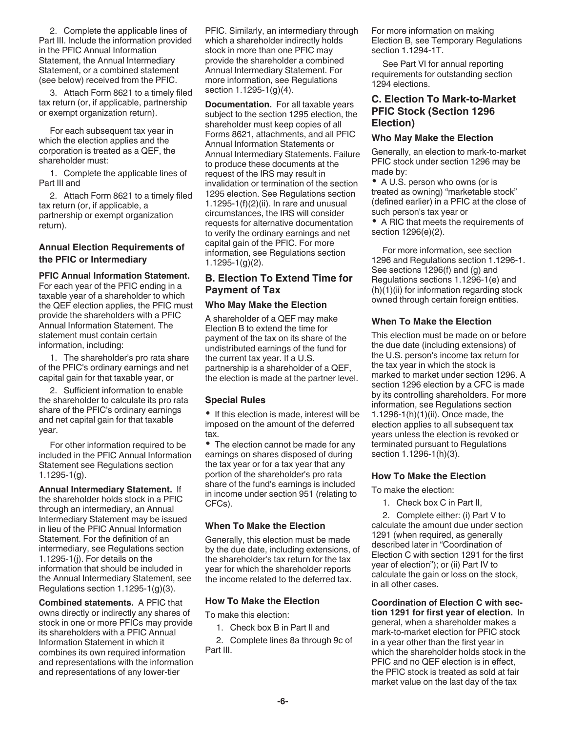2. Complete the applicable lines of Part III. Include the information provided in the PFIC Annual Information Statement, the Annual Intermediary Statement, or a combined statement (see below) received from the PFIC.

3. Attach Form 8621 to a timely filed tax return (or, if applicable, partnership or exempt organization return).

For each subsequent tax year in which the election applies and the corporation is treated as a QEF, the shareholder must:

1. Complete the applicable lines of Part III and

2. Attach Form 8621 to a timely filed tax return (or, if applicable, a partnership or exempt organization return).

### Annual Election Requirements of the PFIC or Intermediary

#### PFIC Annual Information Statement.

For each year of the PFIC ending in a taxable year of a shareholder to which the QEF election applies, the PFIC must provide the shareholders with a PFIC Annual Information Statement. The statement must contain certain information, including:

1. The shareholder's pro rata share of the PFIC's ordinary earnings and net capital gain for that taxable year, or

2. Sufficient information to enable the shareholder to calculate its pro rata share of the PFIC's ordinary earnings and net capital gain for that taxable year.

For other information required to be included in the PFIC Annual Information Statement see Regulations section 1.1295-1(g).

Annual Intermediary Statement. If the shareholder holds stock in a PFIC through an intermediary, an Annual Intermediary Statement may be issued in lieu of the PFIC Annual Information Statement. For the definition of an intermediary, see Regulations section 1.1295-1(j). For details on the information that should be included in the Annual Intermediary Statement, see Regulations section 1.1295-1(g)(3).

Combined statements. A PFIC that owns directly or indirectly any shares of stock in one or more PFICs may provide its shareholders with a PFIC Annual Information Statement in which it combines its own required information and representations with the information and representations of any lower-tier

PFIC. Similarly, an intermediary through which a shareholder indirectly holds stock in more than one PFIC may provide the shareholder a combined Annual Intermediary Statement. For more information, see Regulations section 1.1295-1(g)(4).

Documentation. For all taxable years subject to the section 1295 election, the shareholder must keep copies of all Forms 8621, attachments, and all PFIC Annual Information Statements or Annual Intermediary Statements. Failure to produce these documents at the request of the IRS may result in invalidation or termination of the section 1295 election. See Regulations section 1.1295-1(f) $(2)$ (ii). In rare and unusual circumstances, the IRS will consider requests for alternative documentation to verify the ordinary earnings and net capital gain of the PFIC. For more information, see Regulations section 1.1295-1(g)(2).

### B. Election To Extend Time for Payment of Tax

#### Who May Make the Election

A shareholder of a QEF may make Election B to extend the time for payment of the tax on its share of the undistributed earnings of the fund for the current tax year. If a U.S. partnership is a shareholder of a QEF, the election is made at the partner level.

#### Special Rules

• If this election is made, interest will be imposed on the amount of the deferred tax.

• The election cannot be made for any earnings on shares disposed of during the tax year or for a tax year that any portion of the shareholder's pro rata share of the fund's earnings is included in income under section 951 (relating to CFCs).

#### When To Make the Election

Generally, this election must be made by the due date, including extensions, of the shareholder's tax return for the tax year for which the shareholder reports the income related to the deferred tax.

#### How To Make the Election

To make this election:

1. Check box B in Part II and

2. Complete lines 8a through 9c of Part III.

For more information on making Election B, see Temporary Regulations section 1.1294-1T.

See Part VI for annual reporting requirements for outstanding section 1294 elections.

# **C. Election To Mark-to-Market** PFIC Stock (Section 1296 Election)

#### Who May Make the Election

Generally, an election to mark-to-market PFIC stock under section 1296 may be made by:

• A U.S. person who owns (or is treated as owning) "marketable stock" (defined earlier) in a PFIC at the close of such person's tax year or

• A RIC that meets the requirements of section 1296(e)(2).

For more information, see section 1296 and Regulations section 1.1296-1. See sections 1296(f) and (g) and Regulations sections 1.1296-1(e) and  $(h)(1)(ii)$  for information regarding stock owned through certain foreign entities.

#### When To Make the Election

This election must be made on or before the due date (including extensions) of the U.S. person's income tax return for the tax year in which the stock is marked to market under section 1296. A section 1296 election by a CFC is made by its controlling shareholders. For more information, see Regulations section 1.1296-1(h)(1)(ii). Once made, the election applies to all subsequent tax years unless the election is revoked or terminated pursuant to Regulations section 1.1296-1(h)(3).

#### How To Make the Election

To make the election:

1. Check box C in Part II,

2. Complete either: (i) Part V to calculate the amount due under section 1291 (when required, as generally described later in "Coordination of Election C with section 1291 for the first year of election"); or (ii) Part IV to calculate the gain or loss on the stock, in all other cases.

Coordination of Election C with section 1291 for first year of election. In general, when a shareholder makes a mark-to-market election for PFIC stock in a year other than the first year in which the shareholder holds stock in the PFIC and no QEF election is in effect, the PFIC stock is treated as sold at fair market value on the last day of the tax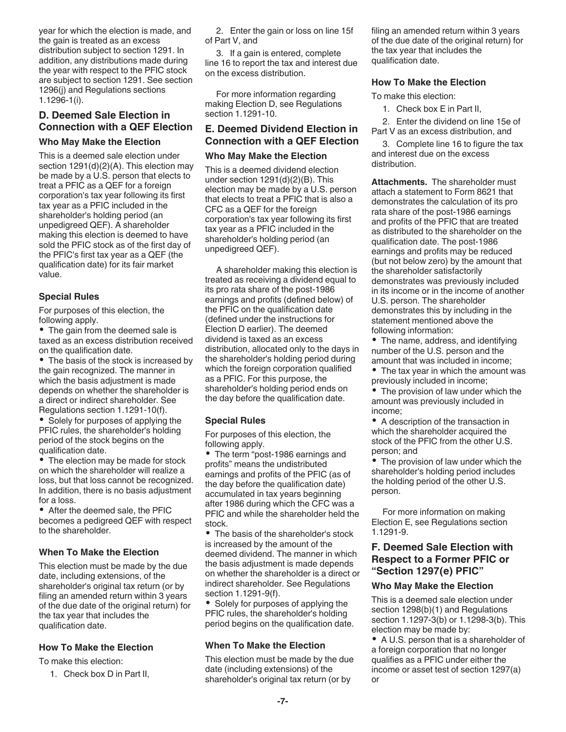year for which the election is made, and the gain is treated as an excess distribution subject to section 1291. In addition, any distributions made during the year with respect to the PFIC stock are subject to section 1291. See section 1296(j) and Regulations sections 1.1296-1(i).

# D. Deemed Sale Election in Connection with a QEF Election

#### Who May Make the Election

This is a deemed sale election under section 1291(d)(2)(A). This election may be made by a U.S. person that elects to treat a PFIC as a QEF for a foreign corporation's tax year following its first tax year as a PFIC included in the shareholder's holding period (an unpedigreed QEF). A shareholder making this election is deemed to have sold the PFIC stock as of the first day of the PFIC's first tax year as a QEF (the qualification date) for its fair market value.

#### Special Rules

For purposes of this election, the following apply.

• The gain from the deemed sale is taxed as an excess distribution received on the qualification date.

• The basis of the stock is increased by the gain recognized. The manner in which the basis adjustment is made depends on whether the shareholder is a direct or indirect shareholder. See Regulations section 1.1291-10(f).

• Solely for purposes of applying the PFIC rules, the shareholder's holding period of the stock begins on the qualification date.

• The election may be made for stock on which the shareholder will realize a loss, but that loss cannot be recognized. In addition, there is no basis adjustment for a loss.

After the deemed sale, the PFIC becomes a pedigreed QEF with respect to the shareholder.

#### When To Make the Election

This election must be made by the due date, including extensions, of the shareholder's original tax return (or by filing an amended return within 3 years of the due date of the original return) for the tax year that includes the qualification date.

#### How To Make the Election

To make this election:

1. Check box D in Part II,

2. Enter the gain or loss on line 15f of Part V, and

3. If a gain is entered, complete line 16 to report the tax and interest due on the excess distribution.

For more information regarding making Election D, see Regulations section 1.1291-10.

### E. Deemed Dividend Election in Connection with a QEF Election

#### Who May Make the Election

This is a deemed dividend election under section 1291(d)(2)(B). This election may be made by a U.S. person that elects to treat a PFIC that is also a CFC as a QEF for the foreign corporation's tax year following its first tax year as a PFIC included in the shareholder's holding period (an unpedigreed QEF).

A shareholder making this election is treated as receiving a dividend equal to its pro rata share of the post-1986 earnings and profits (defined below) of the PFIC on the qualification date (defined under the instructions for Election D earlier). The deemed dividend is taxed as an excess distribution, allocated only to the days in the shareholder's holding period during which the foreign corporation qualified as a PFIC. For this purpose, the shareholder's holding period ends on the day before the qualification date.

#### Special Rules

For purposes of this election, the following apply.

• The term "post-1986 earnings and profits" means the undistributed earnings and profits of the PFIC (as of the day before the qualification date) accumulated in tax years beginning after 1986 during which the CFC was a PFIC and while the shareholder held the stock.

• The basis of the shareholder's stock is increased by the amount of the deemed dividend. The manner in which the basis adjustment is made depends on whether the shareholder is a direct or indirect shareholder. See Regulations section 1.1291-9(f).

Solely for purposes of applying the PFIC rules, the shareholder's holding period begins on the qualification date.

#### When To Make the Election

This election must be made by the due date (including extensions) of the shareholder's original tax return (or by

filing an amended return within 3 years of the due date of the original return) for the tax year that includes the qualification date.

#### How To Make the Election

To make this election:

1. Check box E in Part II,

2. Enter the dividend on line 15e of Part V as an excess distribution, and

3. Complete line 16 to figure the tax and interest due on the excess distribution.

Attachments. The shareholder must attach a statement to Form 8621 that demonstrates the calculation of its pro rata share of the post-1986 earnings and profits of the PFIC that are treated as distributed to the shareholder on the qualification date. The post-1986 earnings and profits may be reduced (but not below zero) by the amount that the shareholder satisfactorily demonstrates was previously included in its income or in the income of another U.S. person. The shareholder demonstrates this by including in the statement mentioned above the following information:

- The name, address, and identifying number of the U.S. person and the amount that was included in income;
- The tax year in which the amount was previously included in income;
- The provision of law under which the amount was previously included in income;

• A description of the transaction in which the shareholder acquired the stock of the PFIC from the other U.S. person; and

• The provision of law under which the shareholder's holding period includes the holding period of the other U.S. person.

For more information on making Election E, see Regulations section 1.1291-9.

### F. Deemed Sale Election with Respect to a Former PFIC or "Section 1297(e) PFIC"

#### Who May Make the Election

This is a deemed sale election under section 1298(b)(1) and Regulations section 1.1297-3(b) or 1.1298-3(b). This election may be made by:

A U.S. person that is a shareholder of a foreign corporation that no longer qualifies as a PFIC under either the income or asset test of section 1297(a) or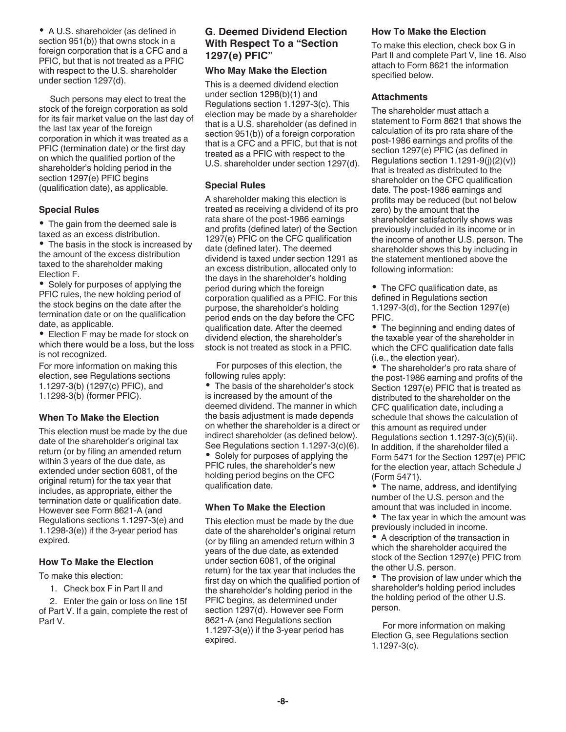A U.S. shareholder (as defined in section 951(b)) that owns stock in a foreign corporation that is a CFC and a PFIC, but that is not treated as a PFIC with respect to the U.S. shareholder under section 1297(d).

Such persons may elect to treat the stock of the foreign corporation as sold for its fair market value on the last day of the last tax year of the foreign corporation in which it was treated as a PFIC (termination date) or the first day on which the qualified portion of the shareholder's holding period in the section 1297(e) PFIC begins (qualification date), as applicable.

### Special Rules

• The gain from the deemed sale is taxed as an excess distribution. • The basis in the stock is increased by the amount of the excess distribution taxed to the shareholder making Election F.

• Solely for purposes of applying the PFIC rules, the new holding period of the stock begins on the date after the termination date or on the qualification date, as applicable.

Election F may be made for stock on which there would be a loss, but the loss is not recognized.

For more information on making this election, see Regulations sections 1.1297-3(b) (1297(c) PFIC), and 1.1298-3(b) (former PFIC).

### When To Make the Election

This election must be made by the due date of the shareholder's original tax return (or by filing an amended return within 3 years of the due date, as extended under section 6081, of the original return) for the tax year that includes, as appropriate, either the termination date or qualification date. However see Form 8621-A (and Regulations sections 1.1297-3(e) and 1.1298-3(e)) if the 3-year period has expired.

#### How To Make the Election

To make this election:

1. Check box F in Part II and

2. Enter the gain or loss on line 15f of Part V. If a gain, complete the rest of Part V.

# G. Deemed Dividend Election With Respect To a "Section 1297(e) PFIC"

#### Who May Make the Election

This is a deemed dividend election under section 1298(b)(1) and Regulations section 1.1297-3(c). This election may be made by a shareholder that is a U.S. shareholder (as defined in section 951(b)) of a foreign corporation that is a CFC and a PFIC, but that is not treated as a PFIC with respect to the U.S. shareholder under section 1297(d).

### Special Rules

A shareholder making this election is treated as receiving a dividend of its pro rata share of the post-1986 earnings and profits (defined later) of the Section 1297(e) PFIC on the CFC qualification date (defined later). The deemed dividend is taxed under section 1291 as an excess distribution, allocated only to the days in the shareholder's holding period during which the foreign corporation qualified as a PFIC. For this purpose, the shareholder's holding period ends on the day before the CFC qualification date. After the deemed dividend election, the shareholder's stock is not treated as stock in a PFIC.

For purposes of this election, the following rules apply:

• The basis of the shareholder's stock is increased by the amount of the deemed dividend. The manner in which the basis adjustment is made depends on whether the shareholder is a direct or indirect shareholder (as defined below). See Regulations section 1.1297-3(c)(6).  $\bullet$ Solely for purposes of applying the PFIC rules, the shareholder's new holding period begins on the CFC qualification date.

### When To Make the Election

This election must be made by the due date of the shareholder's original return (or by filing an amended return within 3 years of the due date, as extended under section 6081, of the original return) for the tax year that includes the first day on which the qualified portion of the shareholder's holding period in the PFIC begins, as determined under section 1297(d). However see Form 8621-A (and Regulations section 1.1297-3(e)) if the 3-year period has expired.

#### How To Make the Election

To make this election, check box G in Part II and complete Part V, line 16. Also attach to Form 8621 the information specified below.

#### **Attachments**

The shareholder must attach a statement to Form 8621 that shows the calculation of its pro rata share of the post-1986 earnings and profits of the section 1297(e) PFIC (as defined in Regulations section  $1.1291-9(j)(2)(v)$ ) that is treated as distributed to the shareholder on the CFC qualification date. The post-1986 earnings and profits may be reduced (but not below zero) by the amount that the shareholder satisfactorily shows was previously included in its income or in the income of another U.S. person. The shareholder shows this by including in the statement mentioned above the following information:

• The CFC qualification date, as defined in Regulations section 1.1297-3(d), for the Section 1297(e) PFIC.

The beginning and ending dates of the taxable year of the shareholder in which the CFC qualification date falls (i.e., the election year).

• The shareholder's pro rata share of the post-1986 earning and profits of the Section 1297(e) PFIC that is treated as distributed to the shareholder on the CFC qualification date, including a schedule that shows the calculation of this amount as required under Regulations section 1.1297-3(c)(5)(ii). In addition, if the shareholder filed a Form 5471 for the Section 1297(e) PFIC for the election year, attach Schedule J (Form 5471).

The name, address, and identifying number of the U.S. person and the amount that was included in income.

• The tax year in which the amount was previously included in income.

A description of the transaction in which the shareholder acquired the stock of the Section 1297(e) PFIC from the other U.S. person.

• The provision of law under which the shareholder's holding period includes the holding period of the other U.S. person.

For more information on making Election G, see Regulations section 1.1297-3(c).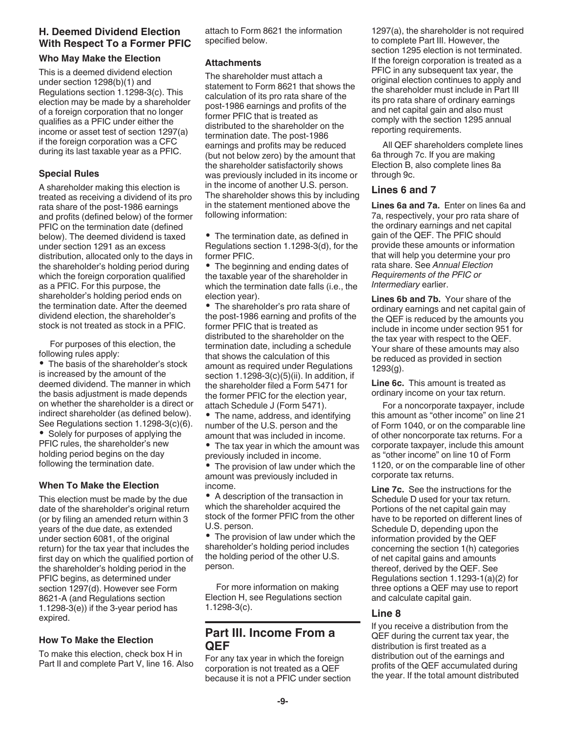# H. Deemed Dividend Election With Respect To a Former PFIC

### Who May Make the Election

This is a deemed dividend election under section 1298(b)(1) and Regulations section 1.1298-3(c). This election may be made by a shareholder of a foreign corporation that no longer qualifies as a PFIC under either the income or asset test of section 1297(a) if the foreign corporation was a CFC during its last taxable year as a PFIC.

### Special Rules

A shareholder making this election is treated as receiving a dividend of its pro rata share of the post-1986 earnings and profits (defined below) of the former PFIC on the termination date (defined below). The deemed dividend is taxed under section 1291 as an excess distribution, allocated only to the days in the shareholder's holding period during which the foreign corporation qualified as a PFIC. For this purpose, the shareholder's holding period ends on the termination date. After the deemed dividend election, the shareholder's stock is not treated as stock in a PFIC.

For purposes of this election, the following rules apply:

• The basis of the shareholder's stock is increased by the amount of the deemed dividend. The manner in which the basis adjustment is made depends on whether the shareholder is a direct or indirect shareholder (as defined below). See Regulations section 1.1298-3(c)(6).

• Solely for purposes of applying the PFIC rules, the shareholder's new holding period begins on the day following the termination date.

# When To Make the Election

This election must be made by the due date of the shareholder's original return (or by filing an amended return within 3 years of the due date, as extended under section 6081, of the original return) for the tax year that includes the first day on which the qualified portion of the shareholder's holding period in the PFIC begins, as determined under section 1297(d). However see Form 8621-A (and Regulations section 1.1298-3(e)) if the 3-year period has expired.

### How To Make the Election

To make this election, check box H in Part II and complete Part V, line 16. Also attach to Form 8621 the information specified below.

### **Attachments**

The shareholder must attach a statement to Form 8621 that shows the calculation of its pro rata share of the post-1986 earnings and profits of the former PFIC that is treated as distributed to the shareholder on the termination date. The post-1986 earnings and profits may be reduced (but not below zero) by the amount that the shareholder satisfactorily shows was previously included in its income or in the income of another U.S. person. The shareholder shows this by including in the statement mentioned above the following information:

• The termination date, as defined in Regulations section 1.1298-3(d), for the former PFIC.

• The beginning and ending dates of the taxable year of the shareholder in which the termination date falls (i.e., the election year).

• The shareholder's pro rata share of the post-1986 earning and profits of the former PFIC that is treated as distributed to the shareholder on the termination date, including a schedule that shows the calculation of this amount as required under Regulations section 1.1298-3(c)(5)(ii). In addition, if the shareholder filed a Form 5471 for the former PFIC for the election year, attach Schedule J (Form 5471).

• The name, address, and identifying number of the U.S. person and the amount that was included in income.

• The tax year in which the amount was previously included in income.

• The provision of law under which the amount was previously included in income.

A description of the transaction in which the shareholder acquired the stock of the former PFIC from the other U.S. person.

• The provision of law under which the shareholder's holding period includes the holding period of the other U.S. person.

For more information on making Election H, see Regulations section 1.1298-3(c).

# Part III. Income From a QEF

For any tax year in which the foreign corporation is not treated as a QEF because it is not a PFIC under section 1297(a), the shareholder is not required to complete Part III. However, the section 1295 election is not terminated. If the foreign corporation is treated as a PFIC in any subsequent tax year, the original election continues to apply and the shareholder must include in Part III its pro rata share of ordinary earnings and net capital gain and also must comply with the section 1295 annual reporting requirements.

All QEF shareholders complete lines 6a through 7c. If you are making Election B, also complete lines 8a through 9c.

# Lines 6 and 7

Lines 6a and 7a. Enter on lines 6a and 7a, respectively, your pro rata share of the ordinary earnings and net capital gain of the QEF. The PFIC should provide these amounts or information that will help you determine your pro rata share. See Annual Election Requirements of the PFIC or Intermediary earlier.

Lines 6b and 7b. Your share of the ordinary earnings and net capital gain of the QEF is reduced by the amounts you include in income under section 951 for the tax year with respect to the QEF. Your share of these amounts may also be reduced as provided in section 1293(g).

Line 6c. This amount is treated as ordinary income on your tax return.

For a noncorporate taxpayer, include this amount as "other income" on line 21 of Form 1040, or on the comparable line of other noncorporate tax returns. For a corporate taxpayer, include this amount as "other income" on line 10 of Form 1120, or on the comparable line of other corporate tax returns.

Line 7c. See the instructions for the Schedule D used for your tax return. Portions of the net capital gain may have to be reported on different lines of Schedule D, depending upon the information provided by the QEF concerning the section 1(h) categories of net capital gains and amounts thereof, derived by the QEF. See Regulations section 1.1293-1(a)(2) for three options a QEF may use to report and calculate capital gain.

# Line 8

If you receive a distribution from the QEF during the current tax year, the distribution is first treated as a distribution out of the earnings and profits of the QEF accumulated during the year. If the total amount distributed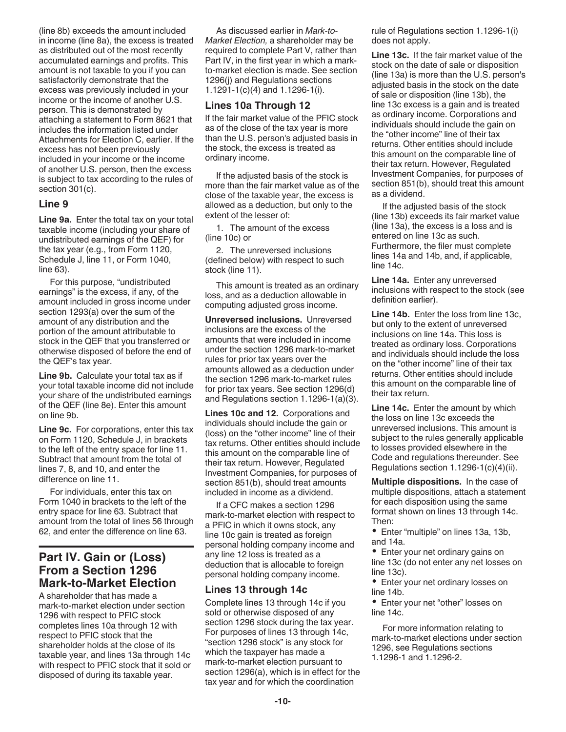(line 8b) exceeds the amount included in income (line 8a), the excess is treated as distributed out of the most recently accumulated earnings and profits. This amount is not taxable to you if you can satisfactorily demonstrate that the excess was previously included in your income or the income of another U.S. person. This is demonstrated by attaching a statement to Form 8621 that includes the information listed under Attachments for Election C, earlier. If the excess has not been previously included in your income or the income of another U.S. person, then the excess is subject to tax according to the rules of section 301(c).

#### Line 9

Line 9a. Enter the total tax on your total taxable income (including your share of undistributed earnings of the QEF) for the tax year (e.g., from Form 1120, Schedule J, line 11, or Form 1040, line 63).

For this purpose, "undistributed earnings" is the excess, if any, of the amount included in gross income under section 1293(a) over the sum of the amount of any distribution and the portion of the amount attributable to stock in the QEF that you transferred or otherwise disposed of before the end of the QEF's tax year.

Line 9b. Calculate your total tax as if your total taxable income did not include your share of the undistributed earnings of the QEF (line 8e). Enter this amount on line 9b.

Line 9c. For corporations, enter this tax on Form 1120, Schedule J, in brackets to the left of the entry space for line 11. Subtract that amount from the total of lines 7, 8, and 10, and enter the difference on line 11.

For individuals, enter this tax on Form 1040 in brackets to the left of the entry space for line 63. Subtract that amount from the total of lines 56 through 62, and enter the difference on line 63.

# Part IV. Gain or (Loss) From a Section 1296 **Mark-to-Market Election**

A shareholder that has made a mark-to-market election under section 1296 with respect to PFIC stock completes lines 10a through 12 with respect to PFIC stock that the shareholder holds at the close of its taxable year, and lines 13a through 14c with respect to PFIC stock that it sold or disposed of during its taxable year.

As discussed earlier in Mark-to-Market Election, a shareholder may be required to complete Part V, rather than Part IV, in the first year in which a markto-market election is made. See section 1296(j) and Regulations sections 1.1291-1(c)(4) and 1.1296-1(i).

#### Lines 10a Through 12

If the fair market value of the PFIC stock as of the close of the tax year is more than the U.S. person's adjusted basis in the stock, the excess is treated as ordinary income.

If the adjusted basis of the stock is more than the fair market value as of the close of the taxable year, the excess is allowed as a deduction, but only to the extent of the lesser of:

1. The amount of the excess (line 10c) or

2. The unreversed inclusions (defined below) with respect to such stock (line 11).

This amount is treated as an ordinary loss, and as a deduction allowable in computing adjusted gross income.

Unreversed inclusions. Unreversed inclusions are the excess of the amounts that were included in income under the section 1296 mark-to-market rules for prior tax years over the amounts allowed as a deduction under the section 1296 mark-to-market rules for prior tax years. See section 1296(d) and Regulations section 1.1296-1(a)(3).

Lines 10c and 12. Corporations and individuals should include the gain or (loss) on the "other income" line of their tax returns. Other entities should include this amount on the comparable line of their tax return. However, Regulated Investment Companies, for purposes of section 851(b), should treat amounts included in income as a dividend.

If a CFC makes a section 1296 mark-to-market election with respect to a PFIC in which it owns stock, any line 10c gain is treated as foreign personal holding company income and any line 12 loss is treated as a deduction that is allocable to foreign personal holding company income.

#### Lines 13 through 14c

Complete lines 13 through 14c if you sold or otherwise disposed of any section 1296 stock during the tax year. For purposes of lines 13 through 14c, "section 1296 stock" is any stock for which the taxpayer has made a mark-to-market election pursuant to section 1296(a), which is in effect for the tax year and for which the coordination

rule of Regulations section 1.1296-1(i) does not apply.

Line 13c. If the fair market value of the stock on the date of sale or disposition (line 13a) is more than the U.S. person's adjusted basis in the stock on the date of sale or disposition (line 13b), the line 13c excess is a gain and is treated as ordinary income. Corporations and individuals should include the gain on the "other income" line of their tax returns. Other entities should include this amount on the comparable line of their tax return. However, Regulated Investment Companies, for purposes of section 851(b), should treat this amount as a dividend.

If the adjusted basis of the stock (line 13b) exceeds its fair market value (line 13a), the excess is a loss and is entered on line 13c as such. Furthermore, the filer must complete lines 14a and 14b, and, if applicable, line 14c.

Line 14a. Enter any unreversed inclusions with respect to the stock (see definition earlier).

Line 14b. Enter the loss from line 13c, but only to the extent of unreversed inclusions on line 14a. This loss is treated as ordinary loss. Corporations and individuals should include the loss on the "other income" line of their tax returns. Other entities should include this amount on the comparable line of their tax return.

Line 14c. Enter the amount by which the loss on line 13c exceeds the unreversed inclusions. This amount is subject to the rules generally applicable to losses provided elsewhere in the Code and regulations thereunder. See Regulations section 1.1296-1(c)(4)(ii).

Multiple dispositions. In the case of multiple dispositions, attach a statement for each disposition using the same format shown on lines 13 through 14c. Then:

Enter "multiple" on lines 13a, 13b, and 14a.

Enter your net ordinary gains on line 13c (do not enter any net losses on line 13c).

• Enter your net ordinary losses on line 14b.

• Enter your net "other" losses on line 14c.

For more information relating to mark-to-market elections under section 1296, see Regulations sections 1.1296-1 and 1.1296-2.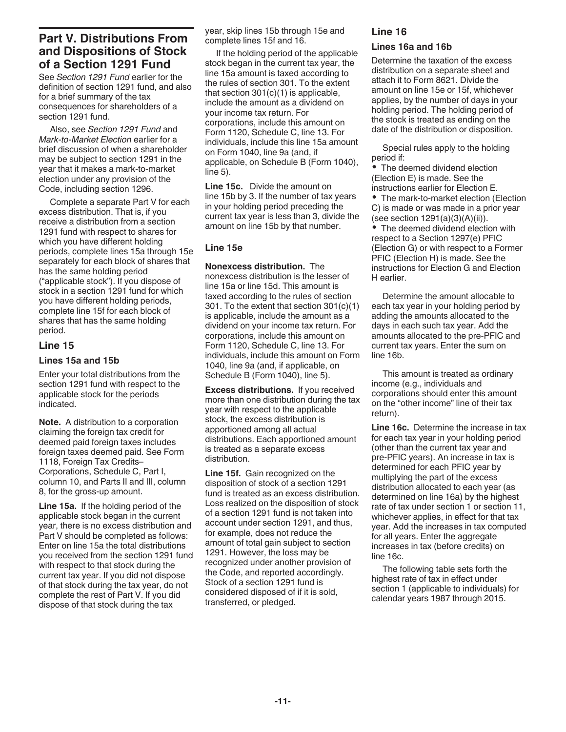# Part V. Distributions From and Dispositions of Stock of a Section 1291 Fund

See Section 1291 Fund earlier for the definition of section 1291 fund, and also for a brief summary of the tax consequences for shareholders of a section 1291 fund.

Also, see Section 1291 Fund and Mark-to-Market Election earlier for a brief discussion of when a shareholder may be subject to section 1291 in the year that it makes a mark-to-market election under any provision of the Code, including section 1296.

Complete a separate Part V for each excess distribution. That is, if you receive a distribution from a section 1291 fund with respect to shares for which you have different holding periods, complete lines 15a through 15e separately for each block of shares that has the same holding period ("applicable stock"). If you dispose of stock in a section 1291 fund for which you have different holding periods, complete line 15f for each block of shares that has the same holding period.

### Line 15

### Lines 15a and 15b

Enter your total distributions from the section 1291 fund with respect to the applicable stock for the periods indicated.

Note. A distribution to a corporation claiming the foreign tax credit for deemed paid foreign taxes includes foreign taxes deemed paid. See Form 1118, Foreign Tax Credits– Corporations, Schedule C, Part I, column 10, and Parts II and III, column 8, for the gross-up amount.

Line 15a. If the holding period of the applicable stock began in the current year, there is no excess distribution and Part V should be completed as follows: Enter on line 15a the total distributions you received from the section 1291 fund with respect to that stock during the current tax year. If you did not dispose of that stock during the tax year, do not complete the rest of Part V. If you did dispose of that stock during the tax

year, skip lines 15b through 15e and complete lines 15f and 16.

If the holding period of the applicable stock began in the current tax year, the line 15a amount is taxed according to the rules of section 301. To the extent that section 301(c)(1) is applicable, include the amount as a dividend on your income tax return. For corporations, include this amount on Form 1120, Schedule C, line 13. For individuals, include this line 15a amount on Form 1040, line 9a (and, if applicable, on Schedule B (Form 1040), line 5).

Line 15c. Divide the amount on line 15b by 3. If the number of tax years in your holding period preceding the current tax year is less than 3, divide the amount on line 15b by that number.

### Line 15e

Nonexcess distribution. The nonexcess distribution is the lesser of line 15a or line 15d. This amount is taxed according to the rules of section 301. To the extent that section 301(c)(1) is applicable, include the amount as a dividend on your income tax return. For corporations, include this amount on Form 1120, Schedule C, line 13. For individuals, include this amount on Form 1040, line 9a (and, if applicable, on Schedule B (Form 1040), line 5).

Excess distributions. If you received more than one distribution during the tax year with respect to the applicable stock, the excess distribution is apportioned among all actual distributions. Each apportioned amount is treated as a separate excess distribution.

Line 15f. Gain recognized on the disposition of stock of a section 1291 fund is treated as an excess distribution. Loss realized on the disposition of stock of a section 1291 fund is not taken into account under section 1291, and thus, for example, does not reduce the amount of total gain subject to section 1291. However, the loss may be recognized under another provision of the Code, and reported accordingly. Stock of a section 1291 fund is considered disposed of if it is sold, transferred, or pledged.

#### Line 16

#### Lines 16a and 16b

Determine the taxation of the excess distribution on a separate sheet and attach it to Form 8621. Divide the amount on line 15e or 15f, whichever applies, by the number of days in your holding period. The holding period of the stock is treated as ending on the date of the distribution or disposition.

Special rules apply to the holding period if:

The deemed dividend election (Election E) is made. See the instructions earlier for Election E.

• The mark-to-market election (Election C) is made or was made in a prior year (see section 1291(a)(3)(A)(ii)).

The deemed dividend election with respect to a Section 1297(e) PFIC (Election G) or with respect to a Former PFIC (Election H) is made. See the instructions for Election G and Election H earlier.

Determine the amount allocable to each tax year in your holding period by adding the amounts allocated to the days in each such tax year. Add the amounts allocated to the pre-PFIC and current tax years. Enter the sum on line 16b.

This amount is treated as ordinary income (e.g., individuals and corporations should enter this amount on the "other income" line of their tax return).

Line 16c. Determine the increase in tax for each tax year in your holding period (other than the current tax year and pre-PFIC years). An increase in tax is determined for each PFIC year by multiplying the part of the excess distribution allocated to each year (as determined on line 16a) by the highest rate of tax under section 1 or section 11, whichever applies, in effect for that tax year. Add the increases in tax computed for all years. Enter the aggregate increases in tax (before credits) on line 16c.

The following table sets forth the highest rate of tax in effect under section 1 (applicable to individuals) for calendar years 1987 through 2015.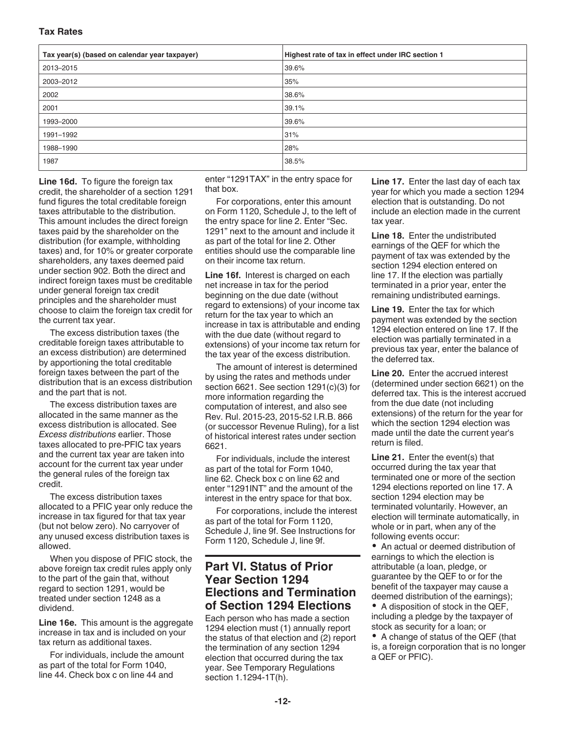### Tax Rates

| Tax year(s) (based on calendar year taxpayer) | Highest rate of tax in effect under IRC section 1 |
|-----------------------------------------------|---------------------------------------------------|
| 2013-2015                                     | 39.6%                                             |
| 2003-2012                                     | 35%                                               |
| 2002                                          | 38.6%                                             |
| 2001                                          | 39.1%                                             |
| 1993-2000                                     | 39.6%                                             |
| 1991-1992                                     | 31%                                               |
| 1988-1990                                     | 28%                                               |
| 1987                                          | 38.5%                                             |

Line 16d. To figure the foreign tax credit, the shareholder of a section 1291 fund figures the total creditable foreign taxes attributable to the distribution. This amount includes the direct foreign taxes paid by the shareholder on the distribution (for example, withholding taxes) and, for 10% or greater corporate shareholders, any taxes deemed paid under section 902. Both the direct and indirect foreign taxes must be creditable under general foreign tax credit principles and the shareholder must choose to claim the foreign tax credit for the current tax year.

The excess distribution taxes (the creditable foreign taxes attributable to an excess distribution) are determined by apportioning the total creditable foreign taxes between the part of the distribution that is an excess distribution and the part that is not.

The excess distribution taxes are allocated in the same manner as the excess distribution is allocated. See Excess distributions earlier. Those taxes allocated to pre-PFIC tax years and the current tax year are taken into account for the current tax year under the general rules of the foreign tax credit.

The excess distribution taxes allocated to a PFIC year only reduce the increase in tax figured for that tax year (but not below zero). No carryover of any unused excess distribution taxes is allowed.

When you dispose of PFIC stock, the above foreign tax credit rules apply only to the part of the gain that, without regard to section 1291, would be treated under section 1248 as a dividend.

Line 16e. This amount is the aggregate increase in tax and is included on your tax return as additional taxes.

For individuals, include the amount as part of the total for Form 1040, line 44. Check box c on line 44 and

enter "1291TAX" in the entry space for that box.

For corporations, enter this amount on Form 1120, Schedule J, to the left of the entry space for line 2. Enter "Sec. 1291" next to the amount and include it as part of the total for line 2. Other entities should use the comparable line on their income tax return.

Line 16f. Interest is charged on each net increase in tax for the period beginning on the due date (without regard to extensions) of your income tax return for the tax year to which an increase in tax is attributable and ending with the due date (without regard to extensions) of your income tax return for the tax year of the excess distribution.

The amount of interest is determined by using the rates and methods under section 6621. See section 1291(c)(3) for more information regarding the computation of interest, and also see Rev. Rul. 2015-23, 2015-52 I.R.B. 866 (or successor Revenue Ruling), for a list of historical interest rates under section 6621.

For individuals, include the interest as part of the total for Form 1040, line 62. Check box c on line 62 and enter "1291INT" and the amount of the interest in the entry space for that box.

For corporations, include the interest as part of the total for Form 1120, Schedule J, line 9f. See Instructions for Form 1120, Schedule J, line 9f.

# Part VI. Status of Prior Year Section 1294 Elections and Termination of Section 1294 Elections

Each person who has made a section 1294 election must (1) annually report the status of that election and (2) report the termination of any section 1294 election that occurred during the tax year. See Temporary Regulations section 1.1294-1T(h).

Line 17. Enter the last day of each tax year for which you made a section 1294 election that is outstanding. Do not include an election made in the current tax year.

Line 18. Enter the undistributed earnings of the QEF for which the payment of tax was extended by the section 1294 election entered on line 17. If the election was partially terminated in a prior year, enter the remaining undistributed earnings.

Line 19. Enter the tax for which payment was extended by the section 1294 election entered on line 17. If the election was partially terminated in a previous tax year, enter the balance of the deferred tax.

Line 20. Enter the accrued interest (determined under section 6621) on the deferred tax. This is the interest accrued from the due date (not including extensions) of the return for the year for which the section 1294 election was made until the date the current year's return is filed.

Line 21. Enter the event(s) that occurred during the tax year that terminated one or more of the section 1294 elections reported on line 17. A section 1294 election may be terminated voluntarily. However, an election will terminate automatically, in whole or in part, when any of the following events occur:

An actual or deemed distribution of earnings to which the election is attributable (a loan, pledge, or guarantee by the QEF to or for the benefit of the taxpayer may cause a deemed distribution of the earnings);

• A disposition of stock in the QEF, including a pledge by the taxpayer of stock as security for a loan; or

A change of status of the QEF (that is, a foreign corporation that is no longer a QEF or PFIC).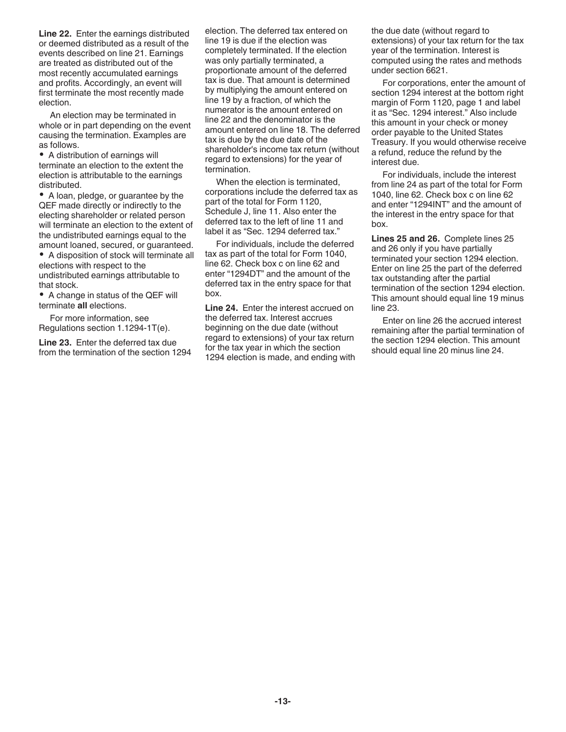Line 22. Enter the earnings distributed or deemed distributed as a result of the events described on line 21. Earnings are treated as distributed out of the most recently accumulated earnings and profits. Accordingly, an event will first terminate the most recently made election.

An election may be terminated in whole or in part depending on the event causing the termination. Examples are as follows.

A distribution of earnings will terminate an election to the extent the election is attributable to the earnings distributed.

A loan, pledge, or guarantee by the QEF made directly or indirectly to the electing shareholder or related person will terminate an election to the extent of the undistributed earnings equal to the amount loaned, secured, or guaranteed.

A disposition of stock will terminate all elections with respect to the undistributed earnings attributable to that stock.

A change in status of the QEF will terminate all elections.

For more information, see Regulations section 1.1294-1T(e).

Line 23. Enter the deferred tax due from the termination of the section 1294 election. The deferred tax entered on line 19 is due if the election was completely terminated. If the election was only partially terminated, a proportionate amount of the deferred tax is due. That amount is determined by multiplying the amount entered on line 19 by a fraction, of which the numerator is the amount entered on line 22 and the denominator is the amount entered on line 18. The deferred tax is due by the due date of the shareholder's income tax return (without regard to extensions) for the year of termination.

When the election is terminated, corporations include the deferred tax as part of the total for Form 1120, Schedule J, line 11. Also enter the deferred tax to the left of line 11 and label it as "Sec. 1294 deferred tax."

For individuals, include the deferred tax as part of the total for Form 1040, line 62. Check box c on line 62 and enter "1294DT" and the amount of the deferred tax in the entry space for that box.

Line 24. Enter the interest accrued on the deferred tax. Interest accrues beginning on the due date (without regard to extensions) of your tax return for the tax year in which the section 1294 election is made, and ending with the due date (without regard to extensions) of your tax return for the tax year of the termination. Interest is computed using the rates and methods under section 6621.

For corporations, enter the amount of section 1294 interest at the bottom right margin of Form 1120, page 1 and label it as "Sec. 1294 interest." Also include this amount in your check or money order payable to the United States Treasury. If you would otherwise receive a refund, reduce the refund by the interest due.

For individuals, include the interest from line 24 as part of the total for Form 1040, line 62. Check box c on line 62 and enter "1294INT" and the amount of the interest in the entry space for that box.

Lines 25 and 26. Complete lines 25 and 26 only if you have partially terminated your section 1294 election. Enter on line 25 the part of the deferred tax outstanding after the partial termination of the section 1294 election. This amount should equal line 19 minus line 23.

Enter on line 26 the accrued interest remaining after the partial termination of the section 1294 election. This amount should equal line 20 minus line 24.